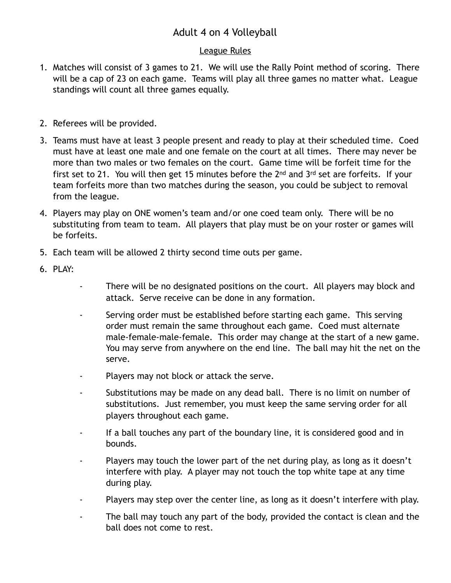## Adult 4 on 4 Volleyball

## League Rules

- 1. Matches will consist of 3 games to 21. We will use the Rally Point method of scoring. There will be a cap of 23 on each game. Teams will play all three games no matter what. League standings will count all three games equally.
- 2. Referees will be provided.
- 3. Teams must have at least 3 people present and ready to play at their scheduled time. Coed must have at least one male and one female on the court at all times. There may never be more than two males or two females on the court. Game time will be forfeit time for the first set to 21. You will then get 15 minutes before the 2nd and 3rd set are forfeits. If your team forfeits more than two matches during the season, you could be subject to removal from the league.
- 4. Players may play on ONE women's team and/or one coed team only. There will be no substituting from team to team. All players that play must be on your roster or games will be forfeits.
- 5. Each team will be allowed 2 thirty second time outs per game.
- 6. PLAY:
- There will be no designated positions on the court. All players may block and attack. Serve receive can be done in any formation.
- Serving order must be established before starting each game. This serving order must remain the same throughout each game. Coed must alternate male-female-male-female. This order may change at the start of a new game. You may serve from anywhere on the end line. The ball may hit the net on the serve.
- Players may not block or attack the serve.
- Substitutions may be made on any dead ball. There is no limit on number of substitutions. Just remember, you must keep the same serving order for all players throughout each game.
- If a ball touches any part of the boundary line, it is considered good and in bounds.
- Players may touch the lower part of the net during play, as long as it doesn't interfere with play. A player may not touch the top white tape at any time during play.
- Players may step over the center line, as long as it doesn't interfere with play.
- The ball may touch any part of the body, provided the contact is clean and the ball does not come to rest.